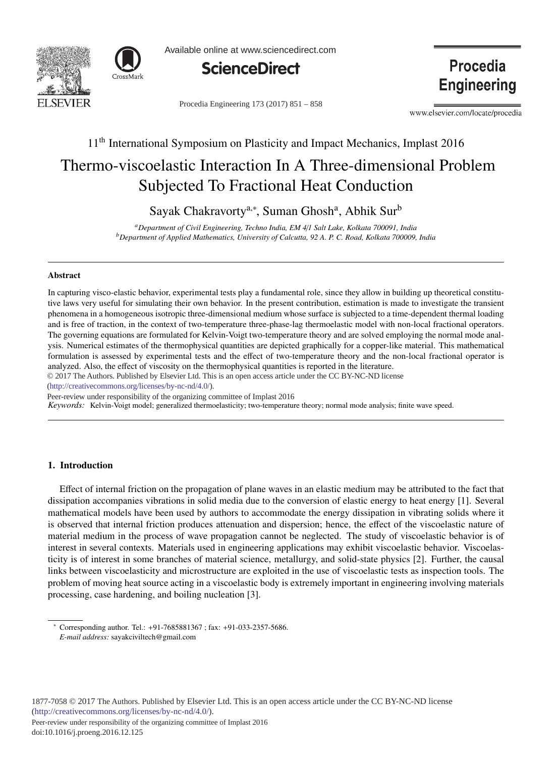



Available online at www.sciencedirect.com



Procedia Engineering 173 (2017) 851 - 858

**Procedia Engineering** 

www.elsevier.com/locate/procedia

# 11<sup>th</sup> International Symposium on Plasticity and Impact Mechanics, Implast 2016

# Thermo-viscoelastic Interaction In A Three-dimensional Problem Subjected To Fractional Heat Conduction

Sayak Chakravorty<sup>a,∗</sup>, Suman Ghosh<sup>a</sup>, Abhik Sur<sup>b</sup>

*aDepartment of Civil Engineering, Techno India, EM 4*/*1 Salt Lake, Kolkata 700091, India bDepartment of Applied Mathematics, University of Calcutta, 92 A. P. C. Road, Kolkata 700009, India*

#### Abstract

In capturing visco-elastic behavior, experimental tests play a fundamental role, since they allow in building up theoretical constitutive laws very useful for simulating their own behavior. In the present contribution, estimation is made to investigate the transient phenomena in a homogeneous isotropic three-dimensional medium whose surface is subjected to a time-dependent thermal loading and is free of traction, in the context of two-temperature three-phase-lag thermoelastic model with non-local fractional operators. The governing equations are formulated for Kelvin-Voigt two-temperature theory and are solved employing the normal mode analysis. Numerical estimates of the thermophysical quantities are depicted graphically for a copper-like material. This mathematical formulation is assessed by experimental tests and the effect of two-temperature theory and the non-local fractional operator is analyzed. Also, the effect of viscosity on the thermophysical quantities is reported in the literature.

© 2017 The Authors. Published by Elsevier Ltd. This is an open access article under the CC BY-NC-ND license

(http://creativecommons.org/licenses/by-nc-nd/4.0/).

Peer-review under responsibility of the organizing committee of Implast 2016

*Keywords:* Kelvin-Voigt model; generalized thermoelasticity; two-temperature theory; normal mode analysis; finite wave speed.

# 1. Introduction

Effect of internal friction on the propagation of plane waves in an elastic medium may be attributed to the fact that dissipation accompanies vibrations in solid media due to the conversion of elastic energy to heat energy [1]. Several mathematical models have been used by authors to accommodate the energy dissipation in vibrating solids where it is observed that internal friction produces attenuation and dispersion; hence, the effect of the viscoelastic nature of material medium in the process of wave propagation cannot be neglected. The study of viscoelastic behavior is of interest in several contexts. Materials used in engineering applications may exhibit viscoelastic behavior. Viscoelasticity is of interest in some branches of material science, metallurgy, and solid-state physics [2]. Further, the causal links between viscoelasticity and microstructure are exploited in the use of viscoelastic tests as inspection tools. The problem of moving heat source acting in a viscoelastic body is extremely important in engineering involving materials processing, case hardening, and boiling nucleation [3].

<sup>∗</sup> Corresponding author. Tel.: +91-7685881367 ; fax: +91-033-2357-5686. *E-mail address:* sayakciviltech@gmail.com

Peer-review under responsibility of the organizing committee of Implast 2016 doi: 10.1016/j.proeng.2016.12.125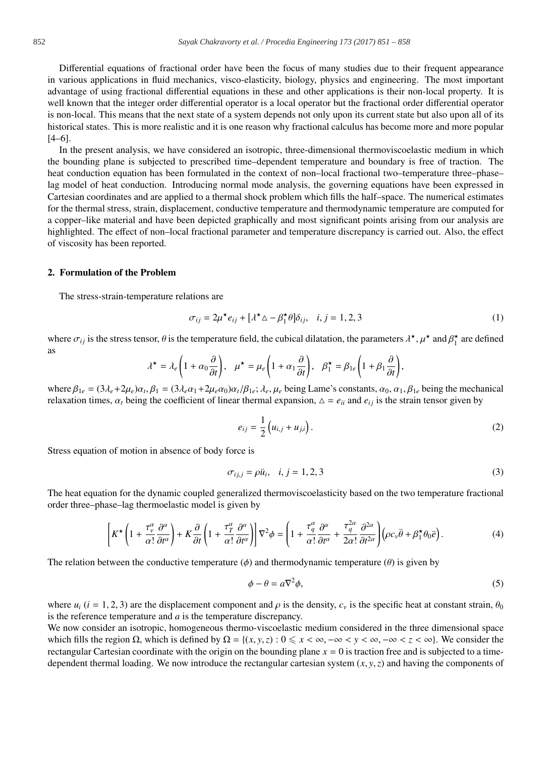Differential equations of fractional order have been the focus of many studies due to their frequent appearance in various applications in fluid mechanics, visco-elasticity, biology, physics and engineering. The most important advantage of using fractional differential equations in these and other applications is their non-local property. It is well known that the integer order differential operator is a local operator but the fractional order differential operator is non-local. This means that the next state of a system depends not only upon its current state but also upon all of its historical states. This is more realistic and it is one reason why fractional calculus has become more and more popular [4–6].

In the present analysis, we have considered an isotropic, three-dimensional thermoviscoelastic medium in which the bounding plane is subjected to prescribed time–dependent temperature and boundary is free of traction. The heat conduction equation has been formulated in the context of non–local fractional two–temperature three–phase– lag model of heat conduction. Introducing normal mode analysis, the governing equations have been expressed in Cartesian coordinates and are applied to a thermal shock problem which fills the half–space. The numerical estimates for the thermal stress, strain, displacement, conductive temperature and thermodynamic temperature are computed for a copper–like material and have been depicted graphically and most significant points arising from our analysis are highlighted. The effect of non–local fractional parameter and temperature discrepancy is carried out. Also, the effect of viscosity has been reported.

#### 2. Formulation of the Problem

The stress-strain-temperature relations are

$$
\sigma_{ij} = 2\mu^* e_{ij} + [\lambda^* \Delta - \beta_1^* \theta] \delta_{ij}, \quad i, j = 1, 2, 3
$$
 (1)

where  $\sigma_{ij}$  is the stress tensor,  $\theta$  is the temperature field, the cubical dilatation, the parameters  $\lambda^*$ ,  $\mu^*$  and  $\beta_1^*$  are defined as

$$
\lambda^{\star} = \lambda_e \left( 1 + \alpha_0 \frac{\partial}{\partial t} \right), \quad \mu^{\star} = \mu_e \left( 1 + \alpha_1 \frac{\partial}{\partial t} \right), \quad \beta_1^{\star} = \beta_{1e} \left( 1 + \beta_1 \frac{\partial}{\partial t} \right),
$$

where  $\beta_{1e} = (3\lambda_e + 2\mu_e)\alpha_t$ ,  $\beta_1 = (3\lambda_e\alpha_1 + 2\mu_e\alpha_0)\alpha_t/\beta_{1e}$ ;  $\lambda_e$ ,  $\mu_e$  being Lame's constants,  $\alpha_0$ ,  $\alpha_1$ ,  $\beta_{1e}$  being the mechanical relaxation times,  $\alpha_t$  being the coefficient of linear thermal expansion,  $\Delta = e_{ii}$  and  $e_{ij}$  is the strain tensor given by

$$
e_{ij} = \frac{1}{2} (u_{i,j} + u_{j,i}).
$$
 (2)

Stress equation of motion in absence of body force is

$$
\sigma_{ij,j} = \rho \ddot{u}_i, \quad i, j = 1, 2, 3 \tag{3}
$$

The heat equation for the dynamic coupled generalized thermoviscoelasticity based on the two temperature fractional order three–phase–lag thermoelastic model is given by

$$
\left[K^{\star}\left(1+\frac{\tau_{\nu}^{\alpha}}{\alpha!}\frac{\partial^{\alpha}}{\partial t^{\alpha}}\right)+K\frac{\partial}{\partial t}\left(1+\frac{\tau_{T}^{\alpha}}{\alpha!}\frac{\partial^{\alpha}}{\partial t^{\alpha}}\right)\right]\nabla^{2}\phi=\left(1+\frac{\tau_{q}^{\alpha}}{\alpha!}\frac{\partial^{\alpha}}{\partial t^{\alpha}}+\frac{\tau_{q}^{2\alpha}}{2\alpha!}\frac{\partial^{2\alpha}}{\partial t^{2\alpha}}\right)\left(\rho c_{\nu}\ddot{\theta}+\beta_{1}^{\star}\theta_{0}\ddot{\theta}\right).
$$
\n(4)

The relation between the conductive temperature  $(\phi)$  and thermodynamic temperature  $(\theta)$  is given by

$$
\phi - \theta = a\nabla^2 \phi,\tag{5}
$$

where  $u_i$  ( $i = 1, 2, 3$ ) are the displacement component and  $\rho$  is the density,  $c_y$  is the specific heat at constant strain,  $\theta_0$ is the reference temperature and *a* is the temperature discrepancy.

We now consider an isotropic, homogeneous thermo-viscoelastic medium considered in the three dimensional space which fills the region  $\Omega$ , which is defined by  $\Omega = \{(x, y, z) : 0 \leq x < \infty, -\infty < y < \infty, -\infty < z < \infty\}$ . We consider the rectangular Cartesian coordinate with the origin on the bounding plane  $x = 0$  is traction free and is subjected to a timedependent thermal loading. We now introduce the rectangular cartesian system  $(x, y, z)$  and having the components of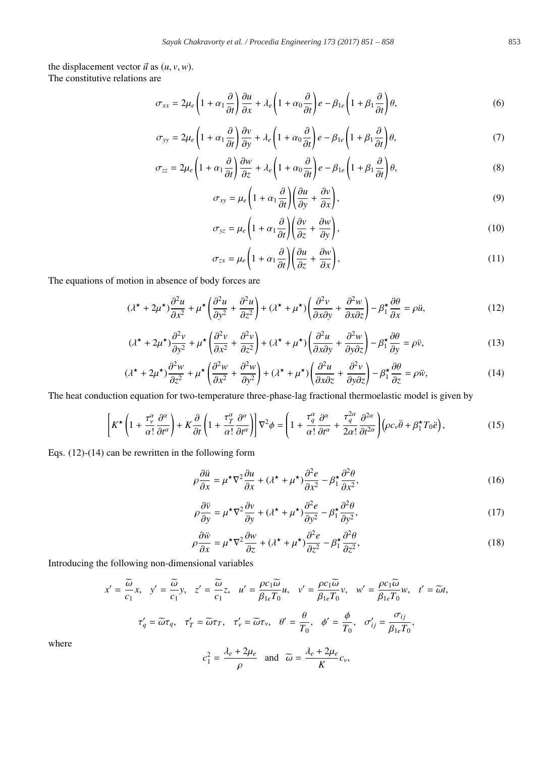the displacement vector  $\vec{u}$  as  $(u, v, w)$ . The constitutive relations are

$$
\sigma_{xx} = 2\mu_e \left( 1 + \alpha_1 \frac{\partial}{\partial t} \right) \frac{\partial u}{\partial x} + \lambda_e \left( 1 + \alpha_0 \frac{\partial}{\partial t} \right) e - \beta_{1e} \left( 1 + \beta_1 \frac{\partial}{\partial t} \right) \theta, \tag{6}
$$

$$
\sigma_{yy} = 2\mu_e \left( 1 + \alpha_1 \frac{\partial}{\partial t} \right) \frac{\partial v}{\partial y} + \lambda_e \left( 1 + \alpha_0 \frac{\partial}{\partial t} \right) e - \beta_{1e} \left( 1 + \beta_1 \frac{\partial}{\partial t} \right) \theta, \tag{7}
$$

$$
\sigma_{zz} = 2\mu_e \left( 1 + \alpha_1 \frac{\partial}{\partial t} \right) \frac{\partial w}{\partial z} + \lambda_e \left( 1 + \alpha_0 \frac{\partial}{\partial t} \right) e - \beta_{1e} \left( 1 + \beta_1 \frac{\partial}{\partial t} \right) \theta, \tag{8}
$$

$$
\sigma_{xy} = \mu_e \left( 1 + \alpha_1 \frac{\partial}{\partial t} \right) \left( \frac{\partial u}{\partial y} + \frac{\partial v}{\partial x} \right),\tag{9}
$$

$$
\sigma_{yz} = \mu_e \left( 1 + \alpha_1 \frac{\partial}{\partial t} \right) \left( \frac{\partial v}{\partial z} + \frac{\partial w}{\partial y} \right),\tag{10}
$$

$$
\sigma_{zx} = \mu_e \left( 1 + \alpha_1 \frac{\partial}{\partial t} \right) \left( \frac{\partial u}{\partial z} + \frac{\partial w}{\partial x} \right),\tag{11}
$$

The equations of motion in absence of body forces are

$$
(\lambda^{\star} + 2\mu^{\star})\frac{\partial^2 u}{\partial x^2} + \mu^{\star} \left(\frac{\partial^2 u}{\partial y^2} + \frac{\partial^2 u}{\partial z^2}\right) + (\lambda^{\star} + \mu^{\star})\left(\frac{\partial^2 v}{\partial x \partial y} + \frac{\partial^2 w}{\partial x \partial z}\right) - \beta_1^{\star} \frac{\partial \theta}{\partial x} = \rho \ddot{u},\tag{12}
$$

$$
(\lambda^{\star} + 2\mu^{\star})\frac{\partial^2 v}{\partial y^2} + \mu^{\star} \left(\frac{\partial^2 v}{\partial x^2} + \frac{\partial^2 v}{\partial z^2}\right) + (\lambda^{\star} + \mu^{\star})\left(\frac{\partial^2 u}{\partial x \partial y} + \frac{\partial^2 w}{\partial y \partial z}\right) - \beta_1^{\star} \frac{\partial \theta}{\partial y} = \rho \dot{v},\tag{13}
$$

$$
(\lambda^{\star} + 2\mu^{\star})\frac{\partial^2 w}{\partial z^2} + \mu^{\star} \left(\frac{\partial^2 w}{\partial x^2} + \frac{\partial^2 w}{\partial y^2}\right) + (\lambda^{\star} + \mu^{\star})\left(\frac{\partial^2 u}{\partial x \partial z} + \frac{\partial^2 v}{\partial y \partial z}\right) - \beta_1^{\star} \frac{\partial \theta}{\partial z} = \rho \ddot{w},\tag{14}
$$

The heat conduction equation for two-temperature three-phase-lag fractional thermoelastic model is given by

$$
\left[K^{\star}\left(1+\frac{\tau_{\nu}^{\alpha}}{\alpha!}\frac{\partial^{\alpha}}{\partial t^{\alpha}}\right)+K\frac{\partial}{\partial t}\left(1+\frac{\tau_{T}^{\alpha}}{\alpha!}\frac{\partial^{\alpha}}{\partial t^{\alpha}}\right)\right]\nabla^{2}\phi=\left(1+\frac{\tau_{q}^{\alpha}}{\alpha!}\frac{\partial^{\alpha}}{\partial t^{\alpha}}+\frac{\tau_{q}^{2\alpha}}{2\alpha!}\frac{\partial^{2\alpha}}{\partial t^{2\alpha}}\right)\left(\rho c_{\nu}\ddot{\theta}+\beta_{1}^{\star}T_{0}\ddot{e}\right),\tag{15}
$$

Eqs. (12)-(14) can be rewritten in the following form

$$
\rho \frac{\partial \ddot{u}}{\partial x} = \mu^{\star} \nabla^2 \frac{\partial u}{\partial x} + (\lambda^{\star} + \mu^{\star}) \frac{\partial^2 e}{\partial x^2} - \beta_1^{\star} \frac{\partial^2 \theta}{\partial x^2},
$$
\n(16)

$$
\rho \frac{\partial \ddot{v}}{\partial y} = \mu^* \nabla^2 \frac{\partial v}{\partial y} + (\lambda^* + \mu^*) \frac{\partial^2 e}{\partial y^2} - \beta_1^* \frac{\partial^2 \theta}{\partial y^2},\tag{17}
$$

$$
\rho \frac{\partial \ddot{w}}{\partial x} = \mu^* \nabla^2 \frac{\partial w}{\partial z} + (\lambda^* + \mu^*) \frac{\partial^2 e}{\partial z^2} - \beta_1^* \frac{\partial^2 \theta}{\partial z^2},\tag{18}
$$

Introducing the following non-dimensional variables

$$
x' = \frac{\tilde{\omega}}{c_1}x, \quad y' = \frac{\tilde{\omega}}{c_1}y, \quad z' = \frac{\tilde{\omega}}{c_1}z, \quad u' = \frac{\rho c_1 \tilde{\omega}}{\beta_{1e} T_0}u, \quad v' = \frac{\rho c_1 \tilde{\omega}}{\beta_{1e} T_0}v, \quad w' = \frac{\rho c_1 \tilde{\omega}}{\beta_{1e} T_0}w, \quad t' = \tilde{\omega}t,
$$
  

$$
\tau'_q = \tilde{\omega}\tau_q, \quad \tau'_T = \tilde{\omega}\tau_T, \quad \tau'_v = \tilde{\omega}\tau_v, \quad \theta' = \frac{\theta}{T_0}, \quad \phi' = \frac{\phi}{T_0}, \quad \sigma'_{ij} = \frac{\sigma_{ij}}{\beta_{1e} T_0},
$$
  

$$
c_1^2 = \frac{\lambda_e + 2\mu_e}{\rho} \quad \text{and} \quad \tilde{\omega} = \frac{\lambda_e + 2\mu_e}{K}c_v,
$$

where

$$
f_{\rm{max}}
$$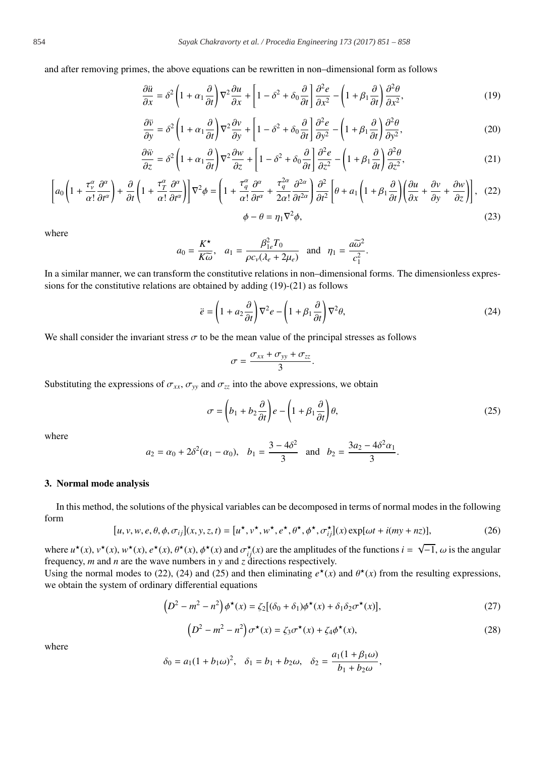and after removing primes, the above equations can be rewritten in non–dimensional form as follows

$$
\frac{\partial \ddot{u}}{\partial x} = \delta^2 \left( 1 + \alpha_1 \frac{\partial}{\partial t} \right) \nabla^2 \frac{\partial u}{\partial x} + \left[ 1 - \delta^2 + \delta_0 \frac{\partial}{\partial t} \right] \frac{\partial^2 e}{\partial x^2} - \left( 1 + \beta_1 \frac{\partial}{\partial t} \right) \frac{\partial^2 \theta}{\partial x^2},\tag{19}
$$

$$
\frac{\partial \ddot{v}}{\partial y} = \delta^2 \left( 1 + \alpha_1 \frac{\partial}{\partial t} \right) \nabla^2 \frac{\partial v}{\partial y} + \left[ 1 - \delta^2 + \delta_0 \frac{\partial}{\partial t} \right] \frac{\partial^2 e}{\partial y^2} - \left( 1 + \beta_1 \frac{\partial}{\partial t} \right) \frac{\partial^2 \theta}{\partial y^2},\tag{20}
$$

$$
\frac{\partial \ddot{w}}{\partial z} = \delta^2 \left( 1 + \alpha_1 \frac{\partial}{\partial t} \right) \nabla^2 \frac{\partial w}{\partial z} + \left[ 1 - \delta^2 + \delta_0 \frac{\partial}{\partial t} \right] \frac{\partial^2 e}{\partial z^2} - \left( 1 + \beta_1 \frac{\partial}{\partial t} \right) \frac{\partial^2 \theta}{\partial z^2},\tag{21}
$$

$$
\left[a_0\left(1+\frac{\tau_v^{\alpha}}{\alpha!}\frac{\partial^{\alpha}}{\partial t^{\alpha}}\right)+\frac{\partial}{\partial t}\left(1+\frac{\tau_T^{\alpha}}{\alpha!}\frac{\partial^{\alpha}}{\partial t^{\alpha}}\right)\right]\nabla^2\phi=\left(1+\frac{\tau_q^{\alpha}}{\alpha!}\frac{\partial^{\alpha}}{\partial t^{\alpha}}+\frac{\tau_q^{2\alpha}}{2\alpha!}\frac{\partial^{2\alpha}}{\partial t^{2\alpha}}\right)\frac{\partial^2}{\partial t^2}\left[\theta+a_1\left(1+\beta_1\frac{\partial}{\partial t}\right)\left(\frac{\partial u}{\partial x}+\frac{\partial v}{\partial y}+\frac{\partial w}{\partial z}\right)\right],\tag{22}
$$

$$
\phi - \theta = \eta_1 \nabla^2 \phi,\tag{23}
$$

where

$$
a_0 = \frac{K^*}{K\tilde{\omega}}, \quad a_1 = \frac{\beta_{1e}^2 T_0}{\rho c_v (\lambda_e + 2\mu_e)} \quad \text{and} \quad \eta_1 = \frac{a\tilde{\omega}^2}{c_1^2}.
$$

In a similar manner, we can transform the constitutive relations in non–dimensional forms. The dimensionless expressions for the constitutive relations are obtained by adding (19)-(21) as follows

$$
\ddot{e} = \left(1 + a_2 \frac{\partial}{\partial t}\right) \nabla^2 e - \left(1 + \beta_1 \frac{\partial}{\partial t}\right) \nabla^2 \theta,\tag{24}
$$

We shall consider the invariant stress  $\sigma$  to be the mean value of the principal stresses as follows

$$
\sigma = \frac{\sigma_{xx} + \sigma_{yy} + \sigma_{zz}}{3}.
$$

Substituting the expressions of  $\sigma_{xx}$ ,  $\sigma_{yy}$  and  $\sigma_{zz}$  into the above expressions, we obtain

$$
\sigma = \left(b_1 + b_2 \frac{\partial}{\partial t}\right) e - \left(1 + \beta_1 \frac{\partial}{\partial t}\right) \theta,\tag{25}
$$

where

$$
a_2 = \alpha_0 + 2\delta^2(\alpha_1 - \alpha_0)
$$
,  $b_1 = \frac{3 - 4\delta^2}{3}$  and  $b_2 = \frac{3a_2 - 4\delta^2\alpha_1}{3}$ .

#### 3. Normal mode analysis

In this method, the solutions of the physical variables can be decomposed in terms of normal modes in the following form

$$
[u, v, w, e, \theta, \phi, \sigma_{ij}](x, y, z, t) = [u^{\star}, v^{\star}, w^{\star}, e^{\star}, \theta^{\star}, \phi^{\star}, \phi^{\star}, \sigma_{ij}^{\star}](x) \exp[\omega t + i(my + nz)], \qquad (26)
$$

where  $u^*(x)$ ,  $v^*(x)$ ,  $w^*(x)$ ,  $e^*(x)$ ,  $\theta^*(x)$ ,  $\phi^*(x)$  and  $\sigma_{ij}^*(x)$  are the amplitudes of the functions  $i = \sqrt{-1}$ ,  $\omega$  is the angular frequency, *m* and *n* are the wave numbers in *y* and *z* directions respectively.

Using the normal modes to (22), (24) and (25) and then eliminating  $e^*(x)$  and  $\theta^*(x)$  from the resulting expressions, we obtain the system of ordinary differential equations

$$
\left(D^2 - m^2 - n^2\right)\phi^{\star}(x) = \zeta_2[(\delta_0 + \delta_1)\phi^{\star}(x) + \delta_1\delta_2\sigma^{\star}(x)],\tag{27}
$$

$$
\left(D^2 - m^2 - n^2\right)\sigma^\star(x) = \zeta_3 \sigma^\star(x) + \zeta_4 \phi^\star(x),\tag{28}
$$

where

$$
\delta_0 = a_1(1 + b_1\omega)^2
$$
,  $\delta_1 = b_1 + b_2\omega$ ,  $\delta_2 = \frac{a_1(1 + \beta_1\omega)}{b_1 + b_2\omega}$ ,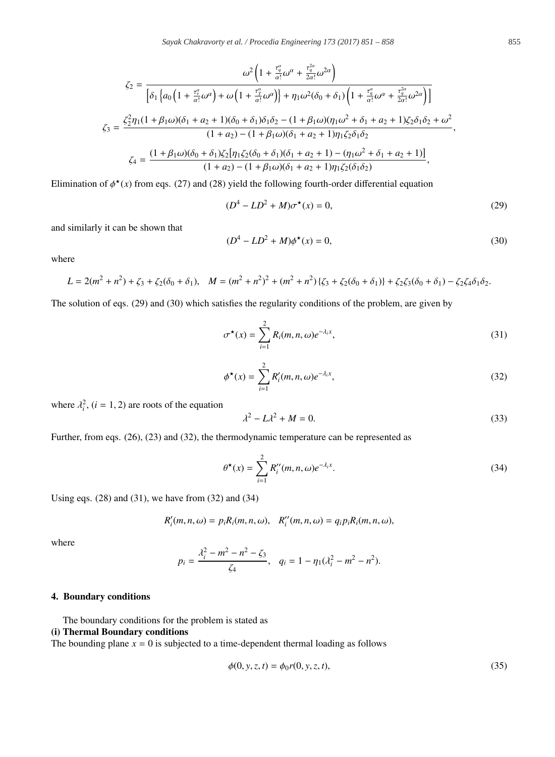$$
\zeta_{2} = \frac{\omega^{2}\left(1 + \frac{\tau_{q}^{a}}{\alpha!}\omega^{\alpha} + \frac{\tau_{q}^{2a}}{2\alpha!}\omega^{2\alpha}\right)}{\left[\delta_{1}\left\{a_{0}\left(1 + \frac{\tau_{q}^{e}}{\alpha!}\omega^{\alpha}\right) + \omega\left(1 + \frac{\tau_{q}^{a}}{\alpha!}\omega^{\alpha}\right)\right\} + \eta_{1}\omega^{2}(\delta_{0} + \delta_{1})\left(1 + \frac{\tau_{q}^{a}}{\alpha!}\omega^{\alpha} + \frac{\tau_{q}^{2a}}{2\alpha!}\omega^{2\alpha}\right)\right]}{\left(1 + \beta_{1}\omega\right)(\delta_{1} + a_{2} + 1)(\delta_{0} + \delta_{1})\delta_{1}\delta_{2} - (1 + \beta_{1}\omega)(\eta_{1}\omega^{2} + \delta_{1} + a_{2} + 1)\zeta_{2}\delta_{1}\delta_{2} + \omega^{2}}{(1 + a_{2}) - (1 + \beta_{1}\omega)(\delta_{1} + a_{2} + 1)\eta_{1}\zeta_{2}\delta_{1}\delta_{2}},
$$

$$
\zeta_{4} = \frac{(1 + \beta_{1}\omega)(\delta_{0} + \delta_{1})\zeta_{2}[\eta_{1}\zeta_{2}(\delta_{0} + \delta_{1})(\delta_{1} + a_{2} + 1) - (\eta_{1}\omega^{2} + \delta_{1} + a_{2} + 1)]}{(1 + a_{2}) - (1 + \beta_{1}\omega)(\delta_{1} + a_{2} + 1)\eta_{1}\zeta_{2}(\delta_{1}\delta_{2})},
$$

Elimination of  $\phi^*(x)$  from eqs. (27) and (28) yield the following fourth-order differential equation

$$
(D4 - LD2 + M)\sigma*(x) = 0,
$$
\n(29)

and similarly it can be shown that

$$
(D4 – LD2 + M)\phi*(x) = 0,
$$
\n(30)

where

$$
L = 2(m^2 + n^2) + \zeta_3 + \zeta_2(\delta_0 + \delta_1), \quad M = (m^2 + n^2)^2 + (m^2 + n^2)\{\zeta_3 + \zeta_2(\delta_0 + \delta_1)\} + \zeta_2\zeta_3(\delta_0 + \delta_1) - \zeta_2\zeta_4\delta_1\delta_2.
$$

The solution of eqs. (29) and (30) which satisfies the regularity conditions of the problem, are given by

$$
\sigma^{\star}(x) = \sum_{i=1}^{2} R_i(m, n, \omega) e^{-\lambda_i x}, \qquad (31)
$$

$$
\phi^{\star}(x) = \sum_{i=1}^{2} R'_i(m, n, \omega) e^{-\lambda_i x}, \qquad (32)
$$

where  $\lambda_i^2$ ,  $(i = 1, 2)$  are roots of the equation

$$
\lambda^2 - L\lambda^2 + M = 0. \tag{33}
$$

Further, from eqs. (26), (23) and (32), the thermodynamic temperature can be represented as

$$
\theta^{\star}(x) = \sum_{i=1}^{2} R_i''(m, n, \omega) e^{-\lambda_i x}.
$$
 (34)

Using eqs. (28) and (31), we have from (32) and (34)

$$
R'_{i}(m,n,\omega)=p_{i}R_{i}(m,n,\omega), R''_{i}(m,n,\omega)=q_{i}p_{i}R_{i}(m,n,\omega),
$$

where

$$
p_i = \frac{\lambda_i^2 - m^2 - n^2 - \zeta_3}{\zeta_4}, \quad q_i = 1 - \eta_1(\lambda_i^2 - m^2 - n^2).
$$

### 4. Boundary conditions

The boundary conditions for the problem is stated as (i) Thermal Boundary conditions

The bounding plane  $x = 0$  is subjected to a time-dependent thermal loading as follows

$$
\phi(0, y, z, t) = \phi_0 r(0, y, z, t),
$$
\n(35)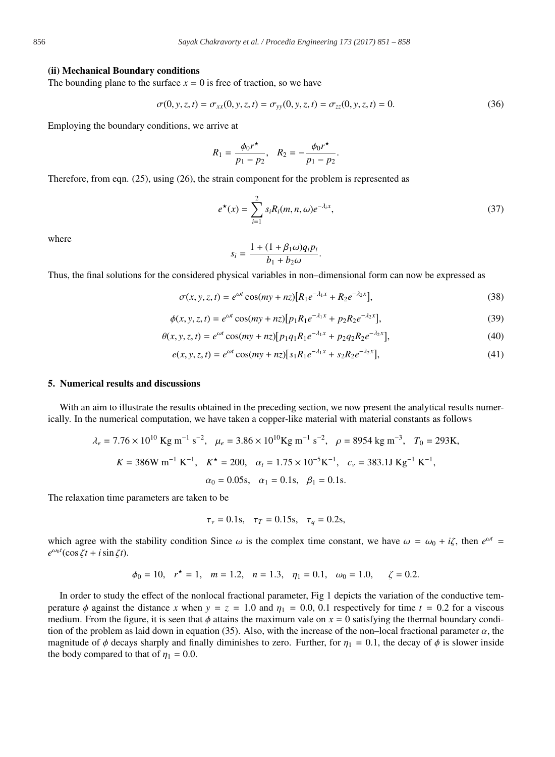#### (ii) Mechanical Boundary conditions

The bounding plane to the surface  $x = 0$  is free of traction, so we have

$$
\sigma(0, y, z, t) = \sigma_{xx}(0, y, z, t) = \sigma_{yy}(0, y, z, t) = \sigma_{zz}(0, y, z, t) = 0.
$$
\n(36)

.

Employing the boundary conditions, we arrive at

$$
R_1 = \frac{\phi_0 r^{\star}}{p_1 - p_2}, \quad R_2 = -\frac{\phi_0 r^{\star}}{p_1 - p_2}
$$

Therefore, from eqn. (25), using (26), the strain component for the problem is represented as

$$
e^{\star}(x) = \sum_{i=1}^{2} s_i R_i(m, n, \omega) e^{-\lambda_i x}, \qquad (37)
$$

where

$$
s_i = \frac{1 + (1 + \beta_1 \omega) q_i p_i}{b_1 + b_2 \omega}.
$$

Thus, the final solutions for the considered physical variables in non–dimensional form can now be expressed as

$$
\sigma(x, y, z, t) = e^{\omega t} \cos(my + nz)[R_1 e^{-\lambda_1 x} + R_2 e^{-\lambda_2 x}], \tag{38}
$$

$$
\phi(x, y, z, t) = e^{\omega t} \cos(my + nz) [p_1 R_1 e^{-\lambda_1 x} + p_2 R_2 e^{-\lambda_2 x}], \tag{39}
$$

$$
\theta(x, y, z, t) = e^{\omega t} \cos(my + nz) [p_1 q_1 R_1 e^{-\lambda_1 x} + p_2 q_2 R_2 e^{-\lambda_2 x}], \tag{40}
$$

$$
e(x, y, z, t) = e^{\omega t} \cos(my + nz) [s_1 R_1 e^{-\lambda_1 x} + s_2 R_2 e^{-\lambda_2 x}], \tag{41}
$$

#### 5. Numerical results and discussions

With an aim to illustrate the results obtained in the preceding section, we now present the analytical results numerically. In the numerical computation, we have taken a copper-like material with material constants as follows

$$
\lambda_e = 7.76 \times 10^{10} \text{ Kg m}^{-1} \text{ s}^{-2}
$$
,  $\mu_e = 3.86 \times 10^{10} \text{ Kg m}^{-1} \text{ s}^{-2}$ ,  $\rho = 8954 \text{ kg m}^{-3}$ ,  $T_0 = 293 \text{ K}$ ,  
\n $K = 386 \text{ W m}^{-1} \text{ K}^{-1}$ ,  $K^* = 200$ ,  $\alpha_t = 1.75 \times 10^{-5} \text{ K}^{-1}$ ,  $c_v = 383.1 \text{ J K} \text{ g}^{-1} \text{ K}^{-1}$ ,  
\n $\alpha_0 = 0.05 \text{ s}$ ,  $\alpha_1 = 0.1 \text{ s}$ ,  $\beta_1 = 0.1 \text{ s}$ .

The relaxation time parameters are taken to be

$$
\tau_v = 0.1
$$
s,  $\tau_T = 0.15$ s,  $\tau_q = 0.2$ s,

which agree with the stability condition Since  $\omega$  is the complex time constant, we have  $\omega = \omega_0 + i\zeta$ , then  $e^{\omega t}$  $e^{\omega_0 t}(\cos \zeta t + i \sin \zeta t).$ 

$$
\phi_0 = 10
$$
,  $r^* = 1$ ,  $m = 1.2$ ,  $n = 1.3$ ,  $\eta_1 = 0.1$ ,  $\omega_0 = 1.0$ ,  $\zeta = 0.2$ .

In order to study the effect of the nonlocal fractional parameter, Fig 1 depicts the variation of the conductive temperature  $\phi$  against the distance *x* when  $y = z = 1.0$  and  $\eta_1 = 0.0, 0.1$  respectively for time  $t = 0.2$  for a viscous medium. From the figure, it is seen that  $\phi$  attains the maximum vale on  $x = 0$  satisfying the thermal boundary condition of the problem as laid down in equation (35). Also, with the increase of the non–local fractional parameter  $\alpha$ , the magnitude of  $\phi$  decays sharply and finally diminishes to zero. Further, for  $\eta_1 = 0.1$ , the decay of  $\phi$  is slower inside the body compared to that of  $\eta_1 = 0.0$ .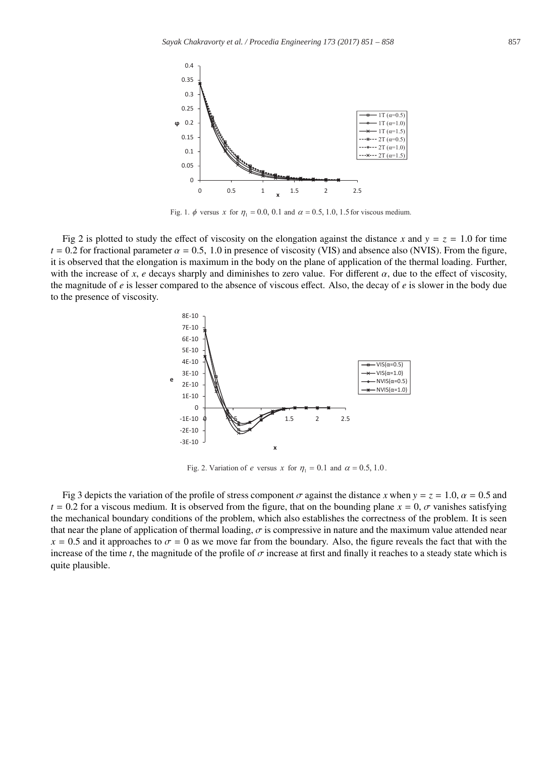

Fig. 1.  $\phi$  versus x for  $\eta_1 = 0.0, 0.1$  and  $\alpha = 0.5, 1.0, 1.5$  for viscous medium.

Fig 2 is plotted to study the effect of viscosity on the elongation against the distance *x* and  $y = z = 1.0$  for time  $t = 0.2$  for fractional parameter  $\alpha = 0.5$ , 1.0 in presence of viscosity (VIS) and absence also (NVIS). From the figure, it is observed that the elongation is maximum in the body on the plane of application of the thermal loading. Further, with the increase of *x*, *e* decays sharply and diminishes to zero value. For different  $\alpha$ , due to the effect of viscosity, the magnitude of *e* is lesser compared to the absence of viscous effect. Also, the decay of *e* is slower in the body due to the presence of viscosity.



Fig. 2. Variation of *e* versus *x* for  $\eta_1 = 0.1$  and  $\alpha = 0.5, 1.0$ .

Fig 3 depicts the variation of the profile of stress component  $\sigma$  against the distance *x* when  $y = z = 1.0$ ,  $\alpha = 0.5$  and  $t = 0.2$  for a viscous medium. It is observed from the figure, that on the bounding plane  $x = 0$ ,  $\sigma$  vanishes satisfying the mechanical boundary conditions of the problem, which also establishes the correctness of the problem. It is seen that near the plane of application of thermal loading,  $\sigma$  is compressive in nature and the maximum value attended near  $x = 0.5$  and it approaches to  $\sigma = 0$  as we move far from the boundary. Also, the figure reveals the fact that with the increase of the time *t*, the magnitude of the profile of σ increase at first and finally it reaches to a steady state which is quite plausible.